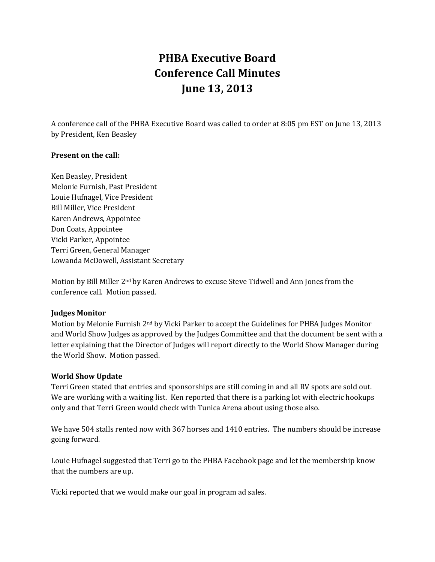# **PHBA Executive Board Conference Call Minutes June 13, 2013**

A conference call of the PHBA Executive Board was called to order at 8:05 pm EST on June 13, 2013 by President, Ken Beasley

### **Present on the call:**

Ken Beasley, President Melonie Furnish, Past President Louie Hufnagel, Vice President Bill Miller, Vice President Karen Andrews, Appointee Don Coats, Appointee Vicki Parker, Appointee Terri Green, General Manager Lowanda McDowell, Assistant Secretary

Motion by Bill Miller 2nd by Karen Andrews to excuse Steve Tidwell and Ann Jones from the conference call. Motion passed.

### **Judges Monitor**

Motion by Melonie Furnish 2nd by Vicki Parker to accept the Guidelines for PHBA Judges Monitor and World Show Judges as approved by the Judges Committee and that the document be sent with a letter explaining that the Director of Judges will report directly to the World Show Manager during the World Show. Motion passed.

### **World Show Update**

Terri Green stated that entries and sponsorships are still coming in and all RV spots are sold out. We are working with a waiting list. Ken reported that there is a parking lot with electric hookups only and that Terri Green would check with Tunica Arena about using those also.

We have 504 stalls rented now with 367 horses and 1410 entries. The numbers should be increase going forward.

Louie Hufnagel suggested that Terri go to the PHBA Facebook page and let the membership know that the numbers are up.

Vicki reported that we would make our goal in program ad sales.